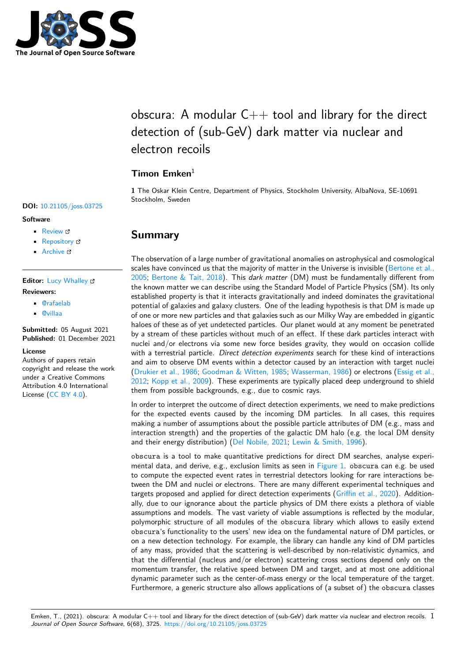

# obscura: A modular  $C++$  tool and library for the direct detection of (sub-GeV) dark matter via nuclear and electron recoils

### **Timon Emken**<sup>1</sup>

**1** The Oskar Klein Centre, Department of Physics, Stockholm University, AlbaNova, SE-10691 Stockholm, Sweden

### **Summary**

The observation of a large number of gravitational anomalies on astrophysical and cosmological scales have convinced us that the majority of matter in the Universe is invisible (Bertone et al., 2005; Bertone & Tait, 2018). This *dark matter* (DM) must be fundamentally different from the known matter we can describe using the Standard Model of Particle Physics (SM). Its only established property is that it interacts gravitationally and indeed dominates the gravitational potential of galaxies and galaxy clusters. One of the leading hypothesis is that [DM is made up](#page-3-0) [of on](#page-3-0)e [or more new particles](#page-3-1) and that galaxies such as our Milky Way are embedded in gigantic haloes of these as of yet undetected particles. Our planet would at any moment be penetrated by a stream of these particles without much of an effect. If these dark particles interact with nuclei and/or electrons via some new force besides gravity, they would on occasion collide with a terrestrial particle. *Direct detection experiments* search for these kind of interactions and aim to observe DM events within a detector caused by an interaction with target nuclei (Drukier et al., 1986; Goodman & Witten, 1985; Wasserman, 1986) or electrons (Essig et al., 2012; Kopp et al., 2009). These experiments are typically placed deep underground to shield them from possible backgrounds, e.g., due to cosmic rays.

In order to interpret the outcome of direct detection experiments, we need to make predictions f[or the expected eve](#page-3-2)[nts caused by the incomin](#page-4-0)[g DM particles.](#page-4-1) In all cases, t[his requires](#page-4-2) [makin](#page-4-2)[g a number of ass](#page-4-3)umptions about the possible particle attributes of DM (e.g., mass and interaction strength) and the properties of the galactic DM halo (e.g. the local DM density and their energy distribution) (Del Nobile, 2021; Lewin & Smith, 1996).

obscura is a tool to make quantitative predictions for direct DM searches, analyse experimental data, and derive, e.g., exclusion limits as seen in  $Figure 1$ . obscura can e.g. be used to compute the expected event rates in terrestrial detectors looking for rare interactions between the DM and nuclei or el[ectrons. There are](#page-3-3) [many different experim](#page-4-4)ental techniques and targets proposed and applied for direct detection experiments (Griffin et al., 2020). Additionally, due to our ignorance about the particle physics of [DM there](#page-1-0) exists a plethora of viable assumptions and models. The vast variety of viable assumptions is reflected by the modular, polymorphic structure of all modules of the obscura library which allows to easily extend obscura's functionality to the users' new idea on the fundame[ntal nature of DM](#page-4-5) particles, or on a new detection technology. For example, the library can handle any kind of DM particles of any mass, provided that the scattering is well-described by non-relativistic dynamics, and that the differential (nucleus and/or electron) scattering cross sections depend only on the momentum transfer, the relative speed between DM and target, and at most one additional dynamic parameter such as the center-of-mass energy or the local temperature of the target. Furthermore, a generic structure also allows applications of (a subset of) the obscura classes

Emken, T., (2021). obscura: A modular C++ tool and library for the direct detection of (sub-GeV) dark matter via nuclear and electron recoils.  $1$ *Journal of Open Source Software*, 6(68), 3725. https://doi.org/10.21105/joss.03725

### **DOI:** 10.21105/joss.03725

#### **Software**

- Review &
- [Repository](https://doi.org/10.21105/joss.03725)  $\circ$
- Archive &

### **Editor:** [Lucy Wh](https://github.com/temken/obscura)alley **Revie[wers:](https://doi.org/10.5281/zenodo.5665890)**

- @rafaelab
- @[villaa](lucydot.github.io)

**Submitted:** 05 August 2021 **Publi[shed:](https://github.com/rafaelab)** 01 December 2021

#### **Licen[se](https://github.com/villaa)**

Authors of papers retain copyright and release the work under a Creative Commons Attribution 4.0 International License (CC BY 4.0).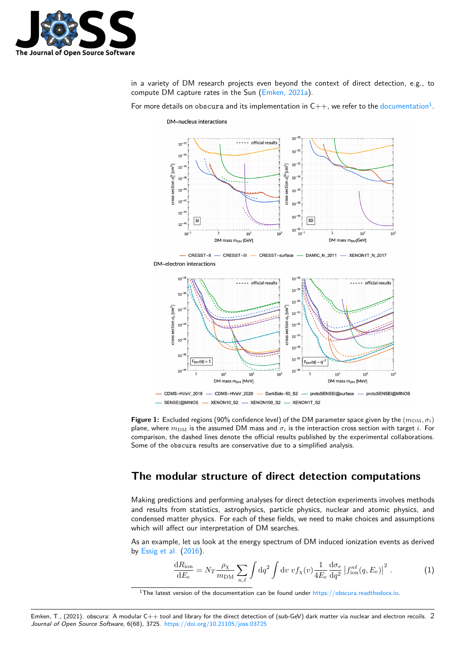

in a variety of DM research projects even beyond the context of direct detection, e.g., to compute DM capture rates in the Sun (Emken, 2021a).

For more details on obscura and its implementation in  $\mathsf{C}{+}{+}$ , we refer to the documentation $^1$ .

DM-nucleus interactions

<span id="page-1-0"></span>

 $-$  CRESST-II -CRESST-III - CRESST-surface - DAMIC\_N\_2011 - XENON1T\_N\_2017





SENSEI@MINOS - XENON10\_S2 - XENON100\_S2 - XENON1T\_S2

**Figure 1:** Excluded regions (90% confidence level) of the DM parameter space given by the  $(m_{DM}, \sigma_i)$ plane, where  $m_{\text{DM}}$  is the assumed DM mass and  $\sigma_i$  is the interaction cross section with target *i*. For comparison, the dashed lines denote the official results published by the experimental collaborations. Some of the obscura results are conservative due to a simplified analysis.

### **The modular structure of direct detection computations**

Making predictions and performing analyses for direct detection experiments involves methods and results from statistics, astrophysics, particle physics, nuclear and atomic physics, and condensed matter physics. For each of these fields, we need to make choices and assumptions which will affect our interpretation of DM searches.

As an example, let us look at the energy spectrum of DM induced ionization events as derived by Essig et al. (2016).

$$
\frac{dR_{\text{ion}}}{dE_e} = N_T \frac{\rho_\chi}{m_{\text{DM}}} \sum_{n,\ell} \int dq^2 \int dv \ v f_\chi(v) \frac{1}{4E_e} \frac{d\sigma_e}{dq^2} \left| f_{\text{ion}}^{n\ell}(q, E_e) \right|^2. \tag{1}
$$

 $1$ [The latest ve](#page-4-6)r[sion of](#page-4-6) the documentation can be found under  $\frac{https://obscura.readthedocs.io.}$ 

Emken, T., (2021). obscura: A modular C++ tool and library for the direct detection of (sub-GeV) dark matter via nuclear and electron recoils. 2*Journal of Open Source Software*, 6(68), 3725. https://doi.org/10.21105/joss.03725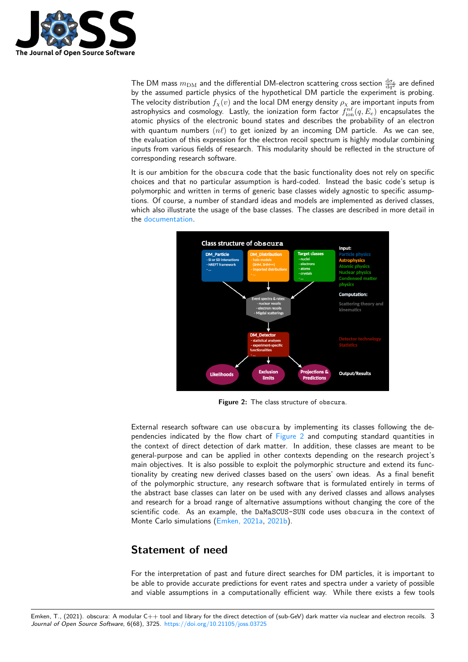

The DM mass  $m_{\rm DM}$  and the differential DM-electron scattering cross section  $\frac{{\rm d}\sigma_e}{\rm d} q^2$  are defined by the assumed particle physics of the hypothetical DM particle the experiment is probing. The velocity distribution  $f_\chi(v)$  and the local DM energy density  $\rho_\chi$  are important inputs from astrophysics and cosmology. Lastly, the ionization form factor  $f_{\rm ion}^{n\ell}(q,E_e)$  encapsulates the atomic physics of the electronic bound states and describes the probability of an electron with quantum numbers (*nℓ*) to get ionized by an incoming DM particle. As we can see, the evaluation of this expression for the electron recoil spectrum is highly modular combining inputs from various fields of research. This modularity should be reflected in the structure of corresponding research software.

It is our ambition for the obscura code that the basic functionality does not rely on specific choices and that no particular assumption is hard-coded. Instead the basic code's setup is polymorphic and written in terms of generic base classes widely agnostic to specific assumptions. Of course, a number of standard ideas and models are implemented as derived classes, which also illustrate the usage of the base classes. The classes are described in more detail in the documentation.

<span id="page-2-0"></span>

**Figure 2:** The class structure of obscura.

External research software can use obscura by implementing its classes following the dependencies indicated by the flow chart of Figure 2 and computing standard quantities in the context of direct detection of dark matter. In addition, these classes are meant to be general-purpose and can be applied in other contexts depending on the research project's main objectives. It is also possible to exploit the polymorphic structure and extend its functionality by creating new derived classes b[ased on th](#page-2-0)e users' own ideas. As a final benefit of the polymorphic structure, any research software that is formulated entirely in terms of the abstract base classes can later on be used with any derived classes and allows analyses and research for a broad range of alternative assumptions without changing the core of the scientific code. As an example, the DaMaSCUS-SUN code uses obscura in the context of Monte Carlo simulations (Emken, 2021a, 2021b).

### **Statement of ne[ed](#page-3-4)**

For the interpretation of past and future direct searches for DM particles, it is important to be able to provide accurate predictions for event rates and spectra under a variety of possible and viable assumptions in a computationally efficient way. While there exists a few tools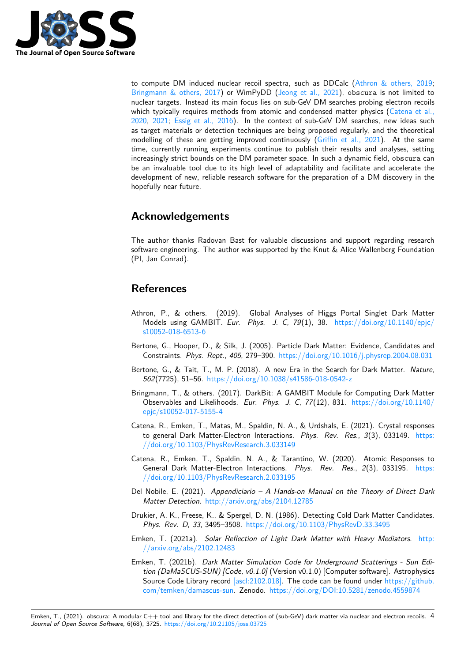

to compute DM induced nuclear recoil spectra, such as DDCalc (Athron & others, 2019; Bringmann & others, 2017) or WimPyDD (Jeong et al., 2021), obscura is not limited to nuclear targets. Instead its main focus lies on sub-GeV DM searches probing electron recoils which typically requires methods from atomic and condensed matter physics (Catena et al., 2020, 2021; Essig et al., 2016). In the context of sub-GeV DM s[earches, new ideas such](#page-3-5) [as target materials or detec](#page-3-6)tion techniques [are being proposed](#page-4-7) regularly, and the theoretical modelling of these are getting improved continuously (Griffin et al., 2021). At the same time, currently running experiments continue to publish their results and an[alyses, setting](#page-3-7) [increa](#page-3-7)[singly](#page-3-8) s[trict bounds on the](#page-4-6) DM parameter space. In such a dynamic field, obscura can be an invaluable tool due to its high level of adaptability and facilitate and accelerate the development of new, reliable research software for the p[reparation of a DM](#page-4-8) discovery in the hopefully near future.

# **Acknowledgements**

The author thanks Radovan Bast for valuable discussions and support regarding research software engineering. The author was supported by the Knut & Alice Wallenberg Foundation (PI, Jan Conrad).

## **References**

- Athron, P., & others. (2019). Global Analyses of Higgs Portal Singlet Dark Matter Models using GAMBIT. *Eur. Phys. J. C*, *79*(1), 38. https://doi.org/10.1140/epjc/ s10052-018-6513-6
- <span id="page-3-5"></span>Bertone, G., Hooper, D., & Silk, J. (2005). Particle Dark Matter: Evidence, Candidates and Constraints. *Phys. Rept.*, *405*, 279–390. https://doi.org/[10.1016/j.physrep.2004.08.031](https://doi.org/10.1140/epjc/s10052-018-6513-6)
- Ber[tone, G., & Tait, T](https://doi.org/10.1140/epjc/s10052-018-6513-6)., M. P. (2018). A new Era in the Search for Dark Matter. *Nature*, *562*(7725), 51–56. https://doi.org/10.1038/s41586-018-0542-z
- <span id="page-3-0"></span>Bringmann, T., & others. (2017). DarkBit: [A GAMBIT Module for Computing Dark Matter](https://doi.org/10.1016/j.physrep.2004.08.031) Observables and Likelihoods. *Eur. Phys. J. C*, *77*(12), 831. https://doi.org/10.1140/ epjc/s10052-017-5155-4
- <span id="page-3-6"></span><span id="page-3-1"></span>Catena, R., Emken, T.[, Matas, M., Spaldin, N. A., & Urdshals, E. \(](https://doi.org/10.1038/s41586-018-0542-z)2021). Crystal responses to general Dark Matter-Electron Interactions. *Phys. Rev. Res.*, *3*[\(3\), 033149.](https://doi.org/10.1140/epjc/s10052-017-5155-4) https: [//doi.org/10.1103/PhysR](https://doi.org/10.1140/epjc/s10052-017-5155-4)evResearch.3.033149
- <span id="page-3-8"></span>Catena, R., Emken, T., Spaldin, N. A., & Tarantino, W. (2020). Atomic Responses to General Dark Matter-Electron Interactions. *Phys. Rev. Res.*, *2*(3), 033195. [https:](https://doi.org/10.1103/PhysRevResearch.3.033149) [//doi.org/10.1103/PhysRevResearch.2.033195](https://doi.org/10.1103/PhysRevResearch.3.033149)
- Del Nobile, E. (2021). *Appendiciario A Hands-on Manual on the Theory of Direct Dark Matter Detection*. http://arxiv.org/abs/2104.12785
- <span id="page-3-7"></span>Dr[ukier, A. K., Freese, K., & Spergel, D. N. \(1986\)](https://doi.org/10.1103/PhysRevResearch.2.033195). Detecting Cold Dark Matter Candi[dates.](https://doi.org/10.1103/PhysRevResearch.2.033195) *Phys. Rev. D*, *33*, 3495–3508. https://doi.org/10.1103/PhysRevD.33.3495
- <span id="page-3-3"></span>Emken, T. (2021a). *[Solar Reflection of Light Dark M](http://arxiv.org/abs/2104.12785)atter with Heavy Mediators*. http: //arxiv.org/abs/2102.12483
- <span id="page-3-4"></span><span id="page-3-2"></span>Emken, T. (2021b). *Dark Matter [Simulation Code for Underground Scatterin](https://doi.org/10.1103/PhysRevD.33.3495)gs - Sun Edition (DaMaSCUS-SUN) [Code, v0.1.0]* (Version v0.1.0) [Computer software]. Astrophysics Source Code Library record [ascl:2102.018]. The code can be found under https://gi[thub.](http://arxiv.org/abs/2102.12483) [com/temken/damascus-sun.](http://arxiv.org/abs/2102.12483) Zenodo. https://doi.org/DOI:10.5281/zenodo.4559874